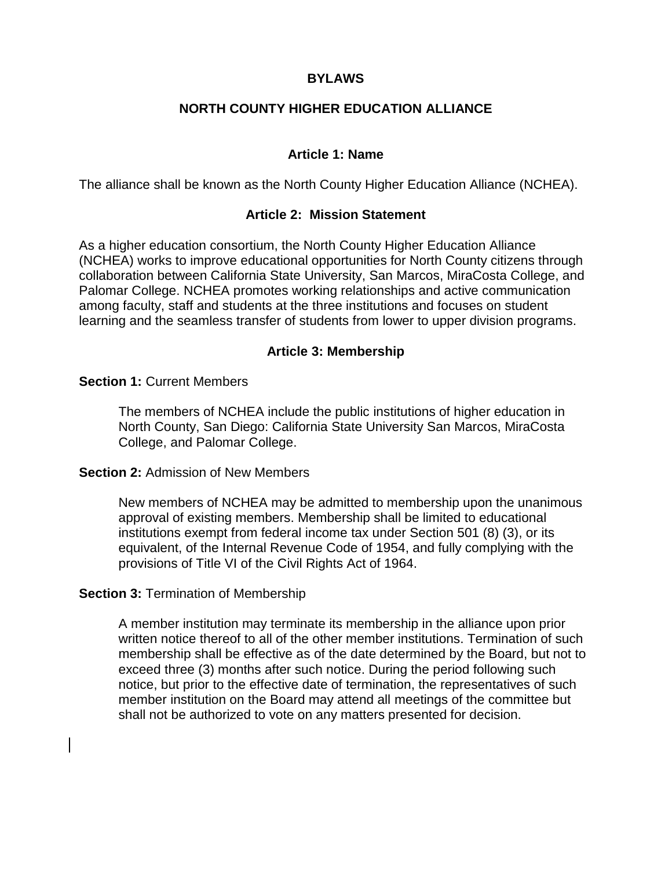# **BYLAWS**

# **NORTH COUNTY HIGHER EDUCATION ALLIANCE**

## **Article 1: Name**

The alliance shall be known as the North County Higher Education Alliance (NCHEA).

#### **Article 2: Mission Statement**

As a higher education consortium, the North County Higher Education Alliance (NCHEA) works to improve educational opportunities for North County citizens through collaboration between California State University, San Marcos, MiraCosta College, and Palomar College. NCHEA promotes working relationships and active communication among faculty, staff and students at the three institutions and focuses on student learning and the seamless transfer of students from lower to upper division programs.

#### **Article 3: Membership**

#### **Section 1:** Current Members

The members of NCHEA include the public institutions of higher education in North County, San Diego: California State University San Marcos, MiraCosta College, and Palomar College.

#### **Section 2:** Admission of New Members

New members of NCHEA may be admitted to membership upon the unanimous approval of existing members. Membership shall be limited to educational institutions exempt from federal income tax under Section 501 (8) (3), or its equivalent, of the Internal Revenue Code of 1954, and fully complying with the provisions of Title VI of the Civil Rights Act of 1964.

#### **Section 3:** Termination of Membership

A member institution may terminate its membership in the alliance upon prior written notice thereof to all of the other member institutions. Termination of such membership shall be effective as of the date determined by the Board, but not to exceed three (3) months after such notice. During the period following such notice, but prior to the effective date of termination, the representatives of such member institution on the Board may attend all meetings of the committee but shall not be authorized to vote on any matters presented for decision.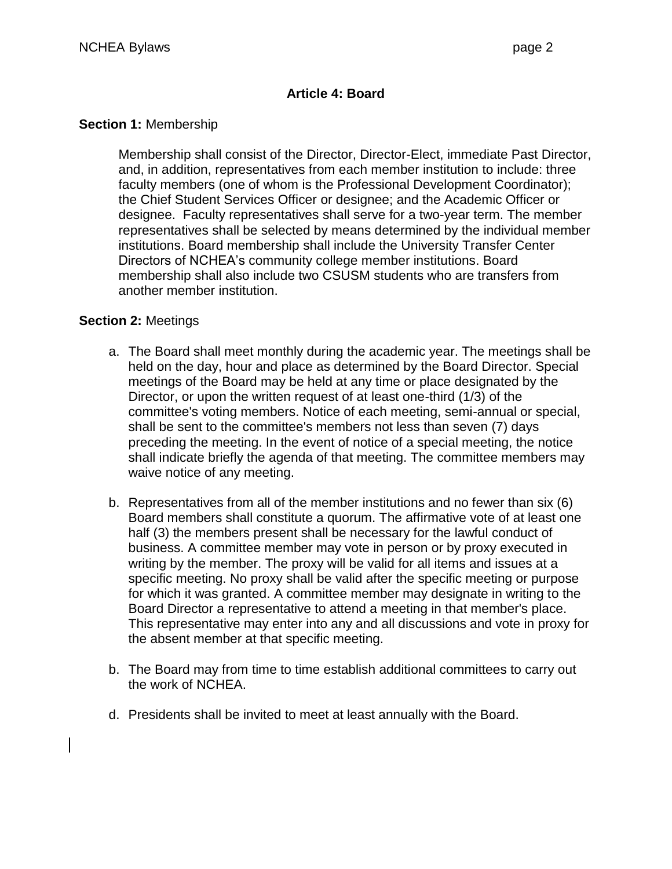# **Article 4: Board**

## **Section 1:** Membership

Membership shall consist of the Director, Director-Elect, immediate Past Director, and, in addition, representatives from each member institution to include: three faculty members (one of whom is the Professional Development Coordinator); the Chief Student Services Officer or designee; and the Academic Officer or designee. Faculty representatives shall serve for a two-year term. The member representatives shall be selected by means determined by the individual member institutions. Board membership shall include the University Transfer Center Directors of NCHEA's community college member institutions. Board membership shall also include two CSUSM students who are transfers from another member institution.

# **Section 2:** Meetings

- a. The Board shall meet monthly during the academic year. The meetings shall be held on the day, hour and place as determined by the Board Director. Special meetings of the Board may be held at any time or place designated by the Director, or upon the written request of at least one-third (1/3) of the committee's voting members. Notice of each meeting, semi-annual or special, shall be sent to the committee's members not less than seven (7) days preceding the meeting. In the event of notice of a special meeting, the notice shall indicate briefly the agenda of that meeting. The committee members may waive notice of any meeting.
- b. Representatives from all of the member institutions and no fewer than six (6) Board members shall constitute a quorum. The affirmative vote of at least one half (3) the members present shall be necessary for the lawful conduct of business. A committee member may vote in person or by proxy executed in writing by the member. The proxy will be valid for all items and issues at a specific meeting. No proxy shall be valid after the specific meeting or purpose for which it was granted. A committee member may designate in writing to the Board Director a representative to attend a meeting in that member's place. This representative may enter into any and all discussions and vote in proxy for the absent member at that specific meeting.
- b. The Board may from time to time establish additional committees to carry out the work of NCHEA.
- d. Presidents shall be invited to meet at least annually with the Board.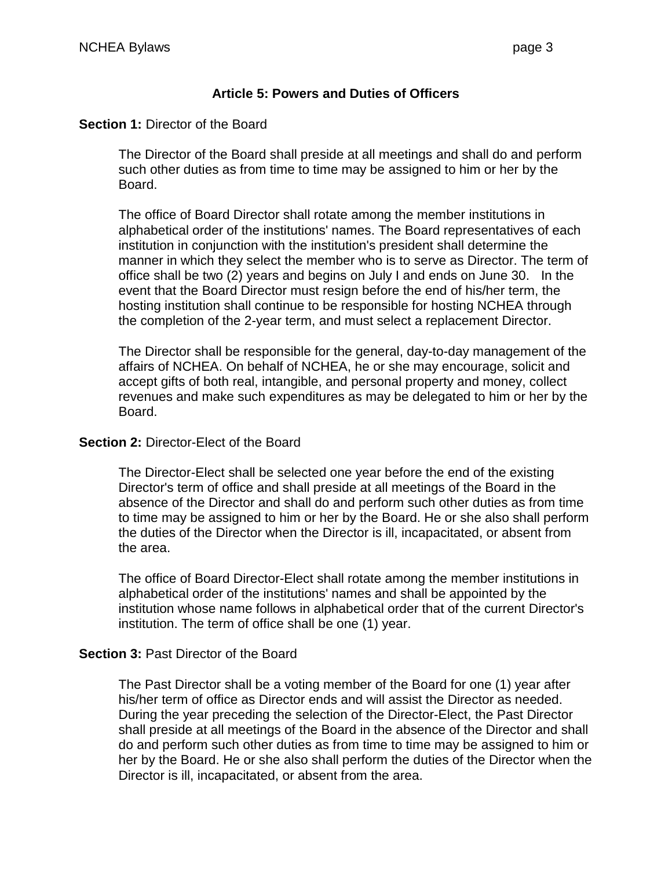# **Article 5: Powers and Duties of Officers**

## **Section 1: Director of the Board**

The Director of the Board shall preside at all meetings and shall do and perform such other duties as from time to time may be assigned to him or her by the Board.

The office of Board Director shall rotate among the member institutions in alphabetical order of the institutions' names. The Board representatives of each institution in conjunction with the institution's president shall determine the manner in which they select the member who is to serve as Director. The term of office shall be two (2) years and begins on July I and ends on June 30. In the event that the Board Director must resign before the end of his/her term, the hosting institution shall continue to be responsible for hosting NCHEA through the completion of the 2-year term, and must select a replacement Director.

The Director shall be responsible for the general, day-to-day management of the affairs of NCHEA. On behalf of NCHEA, he or she may encourage, solicit and accept gifts of both real, intangible, and personal property and money, collect revenues and make such expenditures as may be delegated to him or her by the Board.

## **Section 2:** Director-Elect of the Board

The Director-Elect shall be selected one year before the end of the existing Director's term of office and shall preside at all meetings of the Board in the absence of the Director and shall do and perform such other duties as from time to time may be assigned to him or her by the Board. He or she also shall perform the duties of the Director when the Director is ill, incapacitated, or absent from the area.

The office of Board Director-Elect shall rotate among the member institutions in alphabetical order of the institutions' names and shall be appointed by the institution whose name follows in alphabetical order that of the current Director's institution. The term of office shall be one (1) year.

# **Section 3:** Past Director of the Board

The Past Director shall be a voting member of the Board for one (1) year after his/her term of office as Director ends and will assist the Director as needed. During the year preceding the selection of the Director-Elect, the Past Director shall preside at all meetings of the Board in the absence of the Director and shall do and perform such other duties as from time to time may be assigned to him or her by the Board. He or she also shall perform the duties of the Director when the Director is ill, incapacitated, or absent from the area.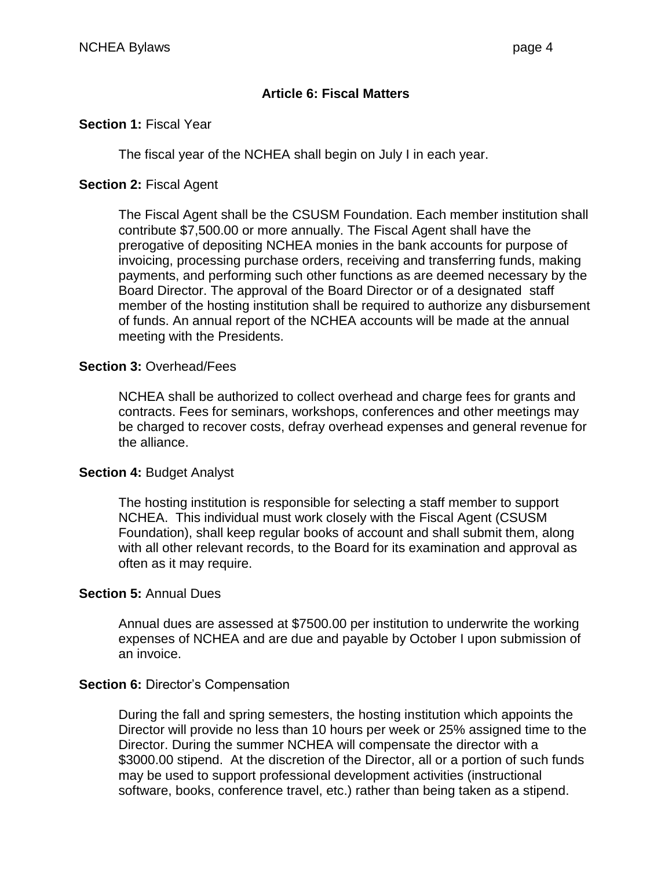# **Article 6: Fiscal Matters**

## **Section 1:** Fiscal Year

The fiscal year of the NCHEA shall begin on July I in each year.

## **Section 2:** Fiscal Agent

The Fiscal Agent shall be the CSUSM Foundation. Each member institution shall contribute \$7,500.00 or more annually. The Fiscal Agent shall have the prerogative of depositing NCHEA monies in the bank accounts for purpose of invoicing, processing purchase orders, receiving and transferring funds, making payments, and performing such other functions as are deemed necessary by the Board Director. The approval of the Board Director or of a designated staff member of the hosting institution shall be required to authorize any disbursement of funds. An annual report of the NCHEA accounts will be made at the annual meeting with the Presidents.

## **Section 3:** Overhead/Fees

NCHEA shall be authorized to collect overhead and charge fees for grants and contracts. Fees for seminars, workshops, conferences and other meetings may be charged to recover costs, defray overhead expenses and general revenue for the alliance.

#### **Section 4:** Budget Analyst

The hosting institution is responsible for selecting a staff member to support NCHEA. This individual must work closely with the Fiscal Agent (CSUSM Foundation), shall keep regular books of account and shall submit them, along with all other relevant records, to the Board for its examination and approval as often as it may require.

#### **Section 5:** Annual Dues

Annual dues are assessed at \$7500.00 per institution to underwrite the working expenses of NCHEA and are due and payable by October I upon submission of an invoice.

# **Section 6: Director's Compensation**

During the fall and spring semesters, the hosting institution which appoints the Director will provide no less than 10 hours per week or 25% assigned time to the Director. During the summer NCHEA will compensate the director with a \$3000.00 stipend. At the discretion of the Director, all or a portion of such funds may be used to support professional development activities (instructional software, books, conference travel, etc.) rather than being taken as a stipend.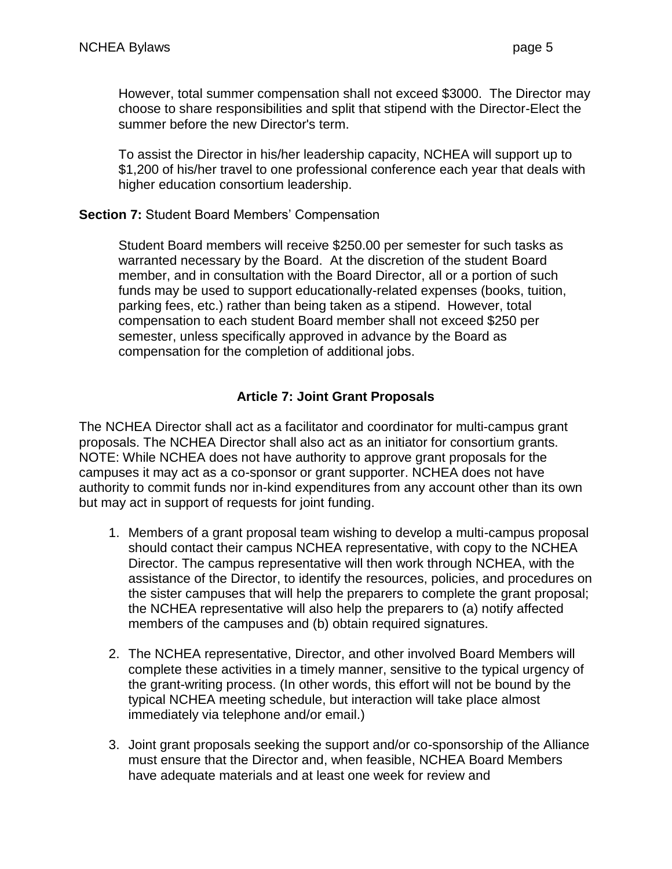However, total summer compensation shall not exceed \$3000. The Director may choose to share responsibilities and split that stipend with the Director-Elect the summer before the new Director's term.

To assist the Director in his/her leadership capacity, NCHEA will support up to \$1,200 of his/her travel to one professional conference each year that deals with higher education consortium leadership.

## **Section 7:** Student Board Members' Compensation

Student Board members will receive \$250.00 per semester for such tasks as warranted necessary by the Board. At the discretion of the student Board member, and in consultation with the Board Director, all or a portion of such funds may be used to support educationally-related expenses (books, tuition, parking fees, etc.) rather than being taken as a stipend. However, total compensation to each student Board member shall not exceed \$250 per semester, unless specifically approved in advance by the Board as compensation for the completion of additional jobs.

# **Article 7: Joint Grant Proposals**

The NCHEA Director shall act as a facilitator and coordinator for multi-campus grant proposals. The NCHEA Director shall also act as an initiator for consortium grants. NOTE: While NCHEA does not have authority to approve grant proposals for the campuses it may act as a co-sponsor or grant supporter. NCHEA does not have authority to commit funds nor in-kind expenditures from any account other than its own but may act in support of requests for joint funding.

- 1. Members of a grant proposal team wishing to develop a multi-campus proposal should contact their campus NCHEA representative, with copy to the NCHEA Director. The campus representative will then work through NCHEA, with the assistance of the Director, to identify the resources, policies, and procedures on the sister campuses that will help the preparers to complete the grant proposal; the NCHEA representative will also help the preparers to (a) notify affected members of the campuses and (b) obtain required signatures.
- 2. The NCHEA representative, Director, and other involved Board Members will complete these activities in a timely manner, sensitive to the typical urgency of the grant-writing process. (In other words, this effort will not be bound by the typical NCHEA meeting schedule, but interaction will take place almost immediately via telephone and/or email.)
- 3. Joint grant proposals seeking the support and/or co-sponsorship of the Alliance must ensure that the Director and, when feasible, NCHEA Board Members have adequate materials and at least one week for review and